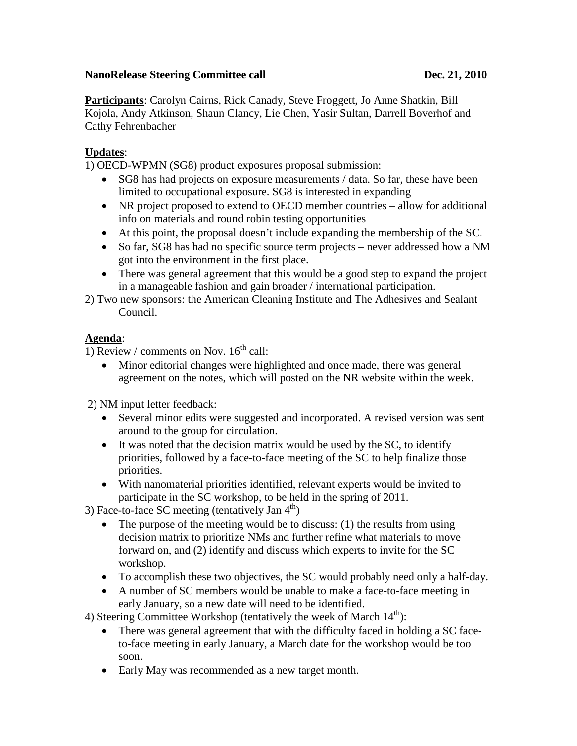## **NanoRelease Steering Committee call Dec. 21, 2010**

**Participants**: Carolyn Cairns, Rick Canady, Steve Froggett, Jo Anne Shatkin, Bill Kojola, Andy Atkinson, Shaun Clancy, Lie Chen, Yasir Sultan, Darrell Boverhof and Cathy Fehrenbacher

## **Updates** :

1) OECD-WPMN (SG8) product exposures proposal submission:

- SG8 has had projects on exposure measurements / data. So far, these have been limited to occupational exposure. SG8 is interested in expanding
- NR project proposed to extend to OECD member countries allow for additional info on materials and round robin testing opportunities
- At this point, the proposal doesn't include expanding the membership of the SC.
- So far, SG8 has had no specific source term projects never addressed how a NM got into the environment in the first place.
- There was general agreement that this would be a good step to expand the project in a manageable fashion and gain broader / international participation.
- 2) Two new sponsors: the American Cleaning Institute and The Adhesives and Sealant Council.

## **Agenda** :

1) Review / comments on Nov.  $16<sup>th</sup>$  call:

• Minor editorial changes were highlighted and once made, there was general agreement on the notes, which will posted on the NR website within the week.

2) NM input letter feedback:

- Several minor edits were suggested and incorporated. A revised version was sent around to the group for circulation.
- It was noted that the decision matrix would be used by the SC, to identify priorities, followed by a face-to-face meeting of the SC to help finalize those priorities.
- With nanomaterial priorities identified, relevant experts would be invited to participate in the SC workshop, to be held in the spring of 2011.

3) Face-to-face SC meeting (tentatively Jan  $4<sup>th</sup>$ )

- The purpose of the meeting would be to discuss:  $(1)$  the results from using decision matrix to prioritize NMs and further refine what materials to move forward on, and (2) identify and discuss which experts to invite for the SC workshop.
- To accomplish these two objectives, the SC would probably need only a half-day.
- A number of SC members would be unable to make a face-to-face meeting in early January, so a new date will need to be identified.
- 4) Steering Committee Workshop (tentatively the week of March  $14<sup>th</sup>$ ):
	- There was general agreement that with the difficulty faced in holding a SC faceto-face meeting in early January, a March date for the workshop would be too soon.
	- Early May was recommended as a new target month.